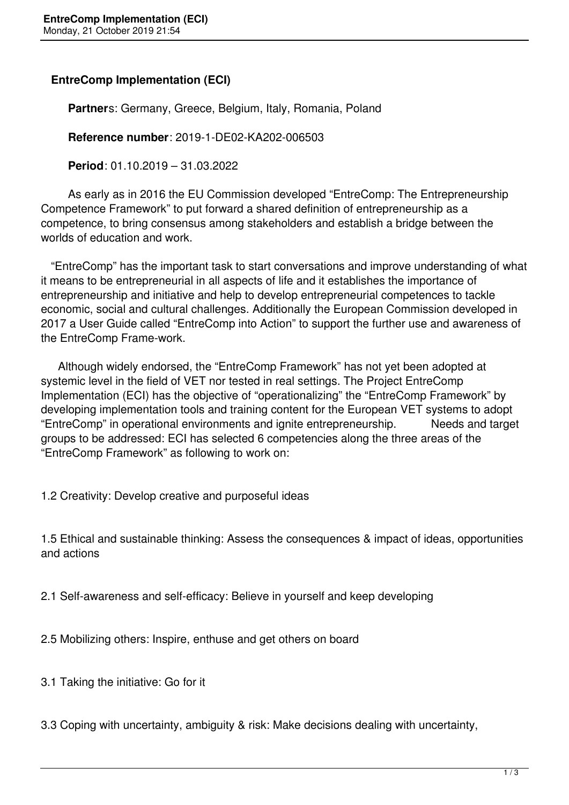## **EntreComp Implementation (ECI)**

 **Partner**s: Germany, Greece, Belgium, Italy, Romania, Poland

**Reference number**: 2019-1-DE02-KA202-006503

**Period**: 01.10.2019 – 31.03.2022

 As early as in 2016 the EU Commission developed "EntreComp: The Entrepreneurship Competence Framework" to put forward a shared definition of entrepreneurship as a competence, to bring consensus among stakeholders and establish a bridge between the worlds of education and work.

 "EntreComp" has the important task to start conversations and improve understanding of what it means to be entrepreneurial in all aspects of life and it establishes the importance of entrepreneurship and initiative and help to develop entrepreneurial competences to tackle economic, social and cultural challenges. Additionally the European Commission developed in 2017 a User Guide called "EntreComp into Action" to support the further use and awareness of the EntreComp Frame-work.

 Although widely endorsed, the "EntreComp Framework" has not yet been adopted at systemic level in the field of VET nor tested in real settings. The Project EntreComp Implementation (ECI) has the objective of "operationalizing" the "EntreComp Framework" by developing implementation tools and training content for the European VET systems to adopt "EntreComp" in operational environments and ignite entrepreneurship. Needs and target groups to be addressed: ECI has selected 6 competencies along the three areas of the "EntreComp Framework" as following to work on:

1.2 Creativity: Develop creative and purposeful ideas

1.5 Ethical and sustainable thinking: Assess the consequences & impact of ideas, opportunities and actions

2.1 Self-awareness and self-efficacy: Believe in yourself and keep developing

2.5 Mobilizing others: Inspire, enthuse and get others on board

3.1 Taking the initiative: Go for it

3.3 Coping with uncertainty, ambiguity & risk: Make decisions dealing with uncertainty,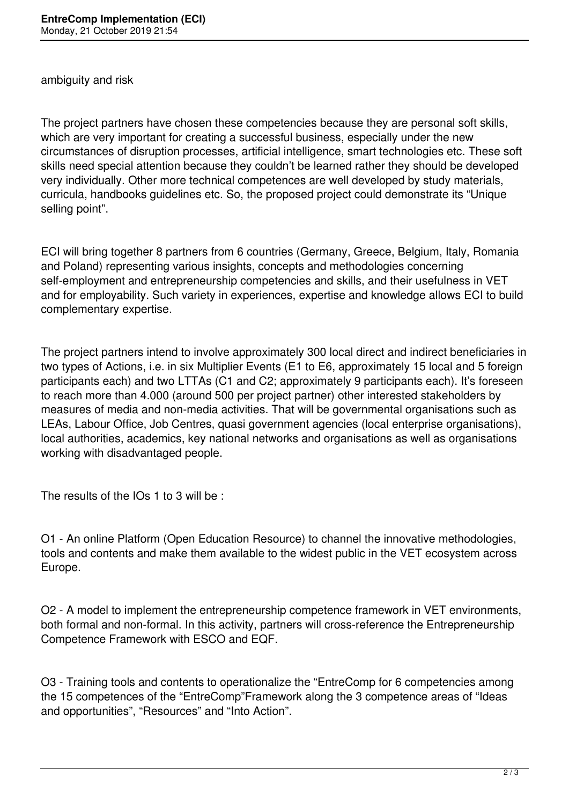ambiguity and risk

The project partners have chosen these competencies because they are personal soft skills, which are very important for creating a successful business, especially under the new circumstances of disruption processes, artificial intelligence, smart technologies etc. These soft skills need special attention because they couldn't be learned rather they should be developed very individually. Other more technical competences are well developed by study materials, curricula, handbooks guidelines etc. So, the proposed project could demonstrate its "Unique selling point".

ECI will bring together 8 partners from 6 countries (Germany, Greece, Belgium, Italy, Romania and Poland) representing various insights, concepts and methodologies concerning self-employment and entrepreneurship competencies and skills, and their usefulness in VET and for employability. Such variety in experiences, expertise and knowledge allows ECI to build complementary expertise.

The project partners intend to involve approximately 300 local direct and indirect beneficiaries in two types of Actions, i.e. in six Multiplier Events (E1 to E6, approximately 15 local and 5 foreign participants each) and two LTTAs (C1 and C2; approximately 9 participants each). It's foreseen to reach more than 4.000 (around 500 per project partner) other interested stakeholders by measures of media and non-media activities. That will be governmental organisations such as LEAs, Labour Office, Job Centres, quasi government agencies (local enterprise organisations), local authorities, academics, key national networks and organisations as well as organisations working with disadvantaged people.

The results of the IOs 1 to 3 will be :

O1 - An online Platform (Open Education Resource) to channel the innovative methodologies, tools and contents and make them available to the widest public in the VET ecosystem across Europe.

O2 - A model to implement the entrepreneurship competence framework in VET environments, both formal and non-formal. In this activity, partners will cross-reference the Entrepreneurship Competence Framework with ESCO and EQF.

O3 - Training tools and contents to operationalize the "EntreComp for 6 competencies among the 15 competences of the "EntreComp"Framework along the 3 competence areas of "Ideas and opportunities", "Resources" and "Into Action".